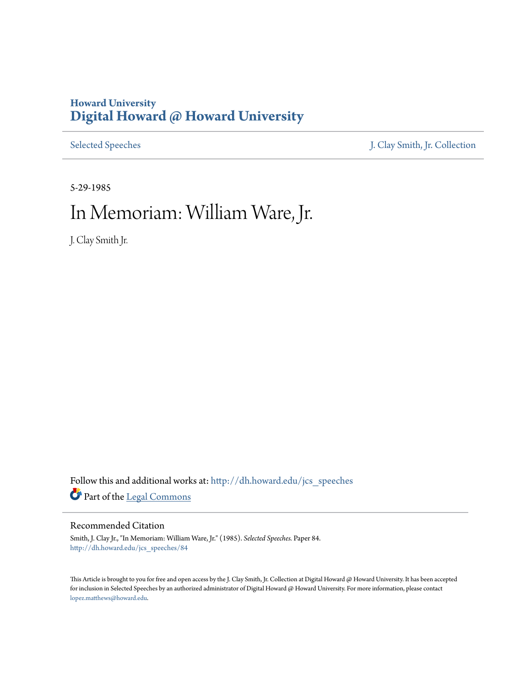### **Howard University [Digital Howard @ Howard University](http://dh.howard.edu?utm_source=dh.howard.edu%2Fjcs_speeches%2F84&utm_medium=PDF&utm_campaign=PDFCoverPages)**

[Selected Speeches](http://dh.howard.edu/jcs_speeches?utm_source=dh.howard.edu%2Fjcs_speeches%2F84&utm_medium=PDF&utm_campaign=PDFCoverPages) [J. Clay Smith, Jr. Collection](http://dh.howard.edu/jcsmith?utm_source=dh.howard.edu%2Fjcs_speeches%2F84&utm_medium=PDF&utm_campaign=PDFCoverPages)

5-29-1985

# In Memoriam: William Ware, Jr.

J. Clay Smith Jr.

Follow this and additional works at: [http://dh.howard.edu/jcs\\_speeches](http://dh.howard.edu/jcs_speeches?utm_source=dh.howard.edu%2Fjcs_speeches%2F84&utm_medium=PDF&utm_campaign=PDFCoverPages) Part of the [Legal Commons](http://network.bepress.com/hgg/discipline/502?utm_source=dh.howard.edu%2Fjcs_speeches%2F84&utm_medium=PDF&utm_campaign=PDFCoverPages)

#### Recommended Citation

Smith, J. Clay Jr., "In Memoriam: William Ware, Jr." (1985). *Selected Speeches.* Paper 84. [http://dh.howard.edu/jcs\\_speeches/84](http://dh.howard.edu/jcs_speeches/84?utm_source=dh.howard.edu%2Fjcs_speeches%2F84&utm_medium=PDF&utm_campaign=PDFCoverPages)

This Article is brought to you for free and open access by the J. Clay Smith, Jr. Collection at Digital Howard @ Howard University. It has been accepted for inclusion in Selected Speeches by an authorized administrator of Digital Howard @ Howard University. For more information, please contact [lopez.matthews@howard.edu.](mailto:lopez.matthews@howard.edu)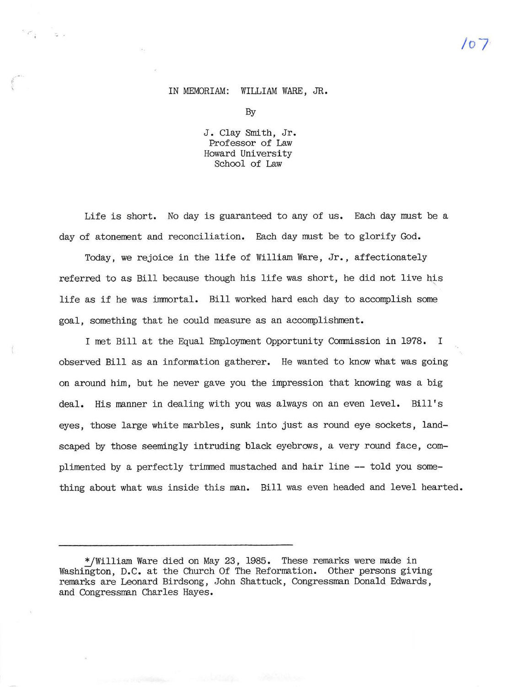## **/07**

#### IN MEMORIAM: WIILIAM WARE, JR.

,  $\sigma_{\rm i}$  , and

By

J. Clay Smith, Jr. Professor of Law Howard University School of Law

Life is short. No day is guaranteed to any of us. Each day must be a day of atonement and reconciliation. Each day must be to glorify God.

Today, we rejoice in the life of William Ware, Jr., affectionately referred to as Bill because though his life was short, he did not live his , life as if he was immortal. Bill worked hard each day to accomplish some goal, something that he could measure as an accomplishment.

I met Bill at the Equal Employment Opportunity Commission in 1978. I observed Bill as an information gatherer. He wanted to know what was going on around him, but he never gave you the impression that knowing was a big deal. His manner in dealing with you was always on an even level. Bill's eyes, those large white marbles, sunk into just as round eye sockets, landscaped by those seemingly intruding black eyebrows, a very round face, complimented by a perfectly trimmed mustached and hair line **--** told you some thing about what was inside this man. Bill was even headed and level hearted.

<sup>~</sup>William Ware died on May 23, 1985. These remarks were made in Washington, D.C. at the Church Of The Reformation. Other persons giving remarks are Leonard Birdsong, John Shattuck, Congressman Donald Edwards, and Congressman Charles Hayes.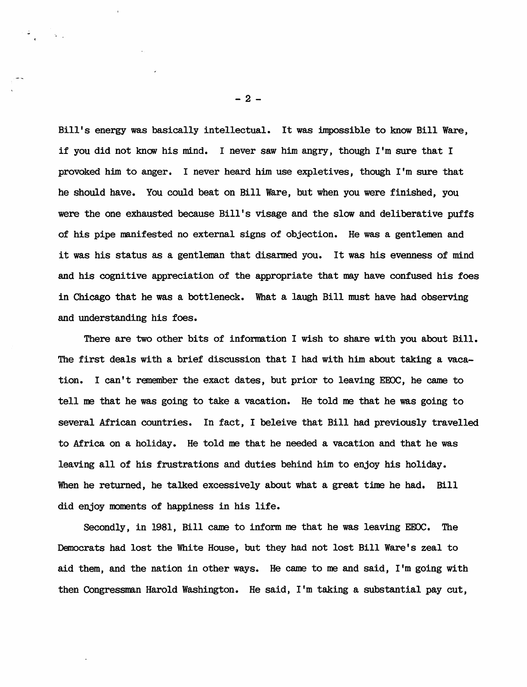Bill's energy was basically intellectual. It was impossible to know Bill Ware, if you did not know his mind. I never saw him angry, though I'm sure that I provoked him to anger. I never heard him use expletives, though I'm sure that he should have. You could beat on Bill Ware, but when you were finished, you were the one exhausted because Bill's visage and the slow and deliberative puffs of his pipe manifested no external signs of objection. He was a gentlemen and it was his status as a gentleman that disarmed you. It was his evenness of mind and his cognitive appreciation of the appropriate that may have confused his foes in Chicago that he was a bottleneck. What a laugh Bill must have had observing and understanding his foes.

There are two other bits of information I wish to share with you about Bill. The first deals with a brief discussion that I had with him about taking a vacation. I can't remember the exact dates, but prior to leaving EEOC, he came to tell me that he was going to take a vacation. He told me that he was going to several African countries. In fact, I beleive that Bill had previously travelled to Africa on a holiday. He told me that he needed a vacation and that he was leaving all of his frustrations and duties behind him to enjoy his holiday. When he returned, he talked excessively about what a great time he had. Bill did enjoy moments of happiness in his life.

Secondly, in 1981, Bill came to inform me that he was leaving EEOC. The Democrats had lost the White House, but they had not lost Bill Ware's zeal to aid them, and the nation in other ways. He came to me and said, I'm going with then Congressman Harold Washington. He said, I'm taking a substantial pay cut,

 $-2-$